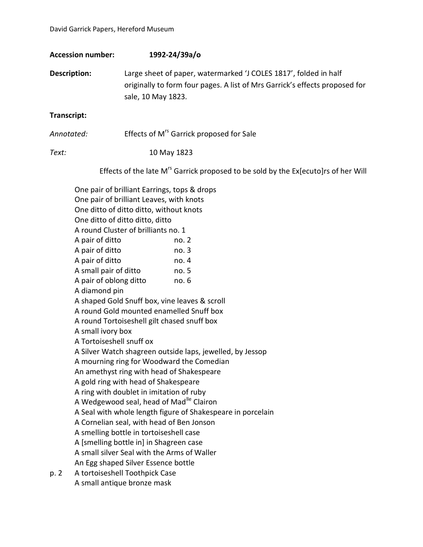| <b>Accession number:</b>                                                                                                                                                   | 1992-24/39a/o                                                                                                                                                                                                                                                                                                                                                                                                                                                                                                                                                                                                                                                                                             |
|----------------------------------------------------------------------------------------------------------------------------------------------------------------------------|-----------------------------------------------------------------------------------------------------------------------------------------------------------------------------------------------------------------------------------------------------------------------------------------------------------------------------------------------------------------------------------------------------------------------------------------------------------------------------------------------------------------------------------------------------------------------------------------------------------------------------------------------------------------------------------------------------------|
| <b>Description:</b>                                                                                                                                                        | Large sheet of paper, watermarked 'J COLES 1817', folded in half<br>originally to form four pages. A list of Mrs Garrick's effects proposed for<br>sale, 10 May 1823.                                                                                                                                                                                                                                                                                                                                                                                                                                                                                                                                     |
| Transcript:                                                                                                                                                                |                                                                                                                                                                                                                                                                                                                                                                                                                                                                                                                                                                                                                                                                                                           |
| Annotated:                                                                                                                                                                 | Effects of M <sup>rs</sup> Garrick proposed for Sale                                                                                                                                                                                                                                                                                                                                                                                                                                                                                                                                                                                                                                                      |
| Text:                                                                                                                                                                      | 10 May 1823                                                                                                                                                                                                                                                                                                                                                                                                                                                                                                                                                                                                                                                                                               |
|                                                                                                                                                                            | Effects of the late M <sup>rs</sup> Garrick proposed to be sold by the Ex[ecuto]rs of her Will                                                                                                                                                                                                                                                                                                                                                                                                                                                                                                                                                                                                            |
| A pair of ditto<br>A pair of ditto<br>A pair of ditto<br>A small pair of ditto<br>A pair of oblong ditto<br>A diamond pin<br>A small ivory box<br>A Tortoiseshell snuff ox | One pair of brilliant Earrings, tops & drops<br>One pair of brilliant Leaves, with knots<br>One ditto of ditto ditto, without knots<br>One ditto of ditto ditto, ditto<br>A round Cluster of brilliants no. 1<br>no. 2<br>no. 3<br>no. 4<br>no. 5<br>no. 6<br>A shaped Gold Snuff box, vine leaves & scroll<br>A round Gold mounted enamelled Snuff box<br>A round Tortoiseshell gilt chased snuff box<br>A Silver Watch shagreen outside laps, jewelled, by Jessop<br>A mourning ring for Woodward the Comedian<br>An amethyst ring with head of Shakespeare<br>A gold ring with head of Shakespeare<br>A ring with doublet in imitation of ruby<br>A Wedgewood seal, head of Mad <sup>lle</sup> Clairon |

A Seal with whole length figure of Shakespeare in porcelain

A Cornelian seal, with head of Ben Jonson

A smelling bottle in tortoiseshell case

A [smelling bottle in] in Shagreen case

A small silver Seal with the Arms of Waller

An Egg shaped Silver Essence bottle

p. 2 A tortoiseshell Toothpick Case A small antique bronze mask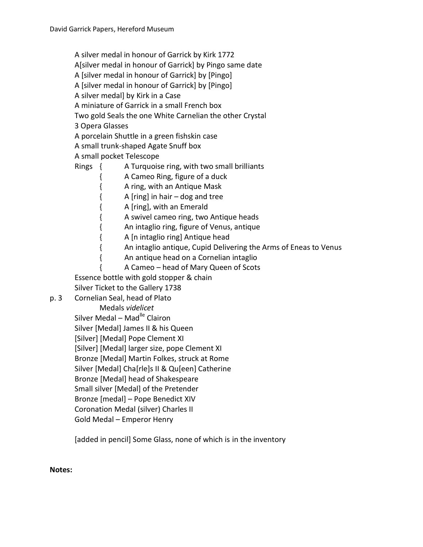A silver medal in honour of Garrick by Kirk 1772

A[silver medal in honour of Garrick] by Pingo same date

A [silver medal in honour of Garrick] by [Pingo]

A [silver medal in honour of Garrick] by [Pingo]

A silver medal] by Kirk in a Case

A miniature of Garrick in a small French box

Two gold Seals the one White Carnelian the other Crystal

3 Opera Glasses

A porcelain Shuttle in a green fishskin case

A small trunk-shaped Agate Snuff box

A small pocket Telescope

Rings { A Turquoise ring, with two small brilliants

- { A Cameo Ring, figure of a duck
- { A ring, with an Antique Mask
- { A [ring] in hair dog and tree

{ A [ring], with an Emerald

{ A swivel cameo ring, two Antique heads

{ An intaglio ring, figure of Venus, antique

{ A [n intaglio ring] Antique head

{ An intaglio antique, Cupid Delivering the Arms of Eneas to Venus

{ An antique head on a Cornelian intaglio

{ A Cameo – head of Mary Queen of Scots

Essence bottle with gold stopper & chain

Silver Ticket to the Gallery 1738

p. 3 Cornelian Seal, head of Plato

Medals *videlicet*

Silver Medal – Mad $^{He}$  Clairon

Silver [Medal] James II & his Queen

[Silver] [Medal] Pope Clement XI

[Silver] [Medal] larger size, pope Clement XI

Bronze [Medal] Martin Folkes, struck at Rome

Silver [Medal] Cha[rle]s II & Qu[een] Catherine

Bronze [Medal] head of Shakespeare

Small silver [Medal] of the Pretender

Bronze [medal] – Pope Benedict XIV

Coronation Medal (silver) Charles II

Gold Medal – Emperor Henry

[added in pencil] Some Glass, none of which is in the inventory

**Notes:**